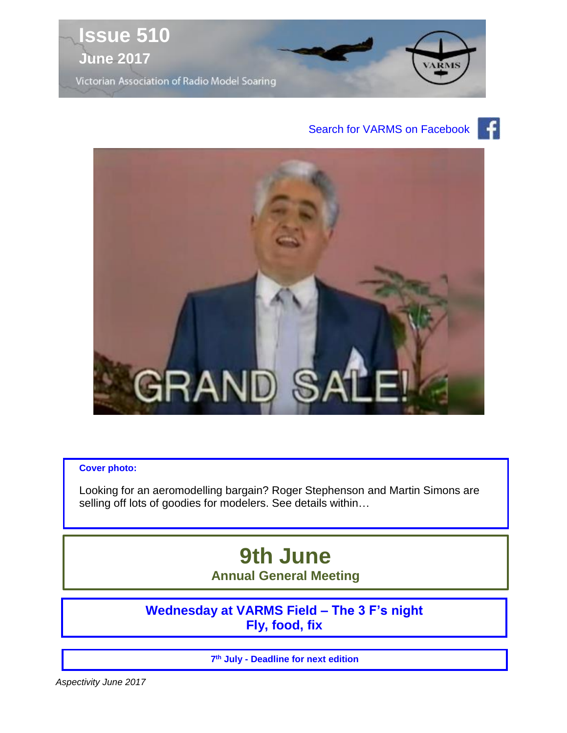

#### £ Search for VARMS on Facebook



#### **Cover photo:**

Looking for an aeromodelling bargain? Roger Stephenson and Martin Simons are selling off lots of goodies for modelers. See details within...

# **9th June Annual General Meeting**

**Wednesday at VARMS Field – The 3 F's night Fly, food, fix**

**7 th July - Deadline for next edition**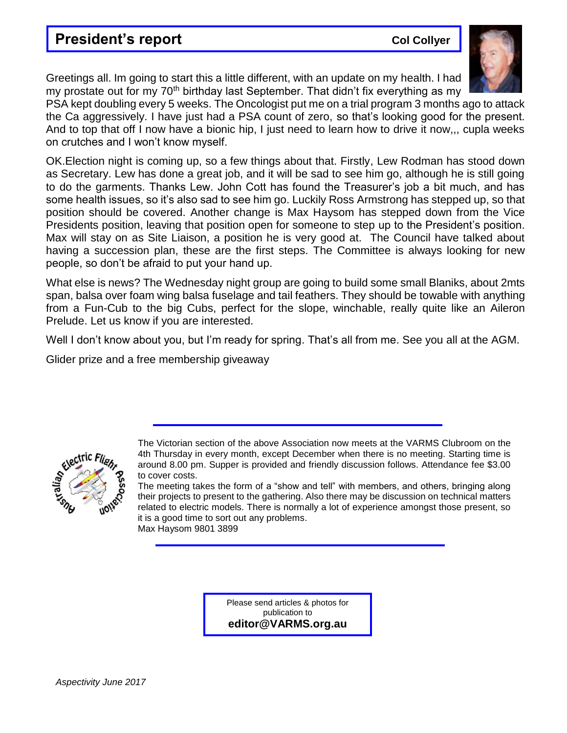## **President's report Collyer Accord Collyer**

Greetings all. Im going to start this a little different, with an update on my health. I had my prostate out for my 70<sup>th</sup> birthday last September. That didn't fix everything as my

PSA kept doubling every 5 weeks. The Oncologist put me on a trial program 3 months ago to attack the Ca aggressively. I have just had a PSA count of zero, so that's looking good for the present. And to top that off I now have a bionic hip, I just need to learn how to drive it now,,, cupla weeks on crutches and I won't know myself.

OK.Election night is coming up, so a few things about that. Firstly, Lew Rodman has stood down as Secretary. Lew has done a great job, and it will be sad to see him go, although he is still going to do the garments. Thanks Lew. John Cott has found the Treasurer's job a bit much, and has some health issues, so it's also sad to see him go. Luckily Ross Armstrong has stepped up, so that position should be covered. Another change is Max Haysom has stepped down from the Vice Presidents position, leaving that position open for someone to step up to the President's position. Max will stay on as Site Liaison, a position he is very good at. The Council have talked about having a succession plan, these are the first steps. The Committee is always looking for new people, so don't be afraid to put your hand up.

What else is news? The Wednesday night group are going to build some small Blaniks, about 2mts span, balsa over foam wing balsa fuselage and tail feathers. They should be towable with anything from a Fun-Cub to the big Cubs, perfect for the slope, winchable, really quite like an Aileron Prelude. Let us know if you are interested.

Well I don't know about you, but I'm ready for spring. That's all from me. See you all at the AGM.

Glider prize and a free membership giveaway



The Victorian section of the above Association now meets at the VARMS Clubroom on the 4th Thursday in every month, except December when there is no meeting. Starting time is around 8.00 pm. Supper is provided and friendly discussion follows. Attendance fee \$3.00 to cover costs.

The meeting takes the form of a "show and tell" with members, and others, bringing along their projects to present to the gathering. Also there may be discussion on technical matters related to electric models. There is normally a lot of experience amongst those present, so it is a good time to sort out any problems. Max Haysom 9801 3899

> Please send articles & photos for publication to **editor@VARMS.org.au**

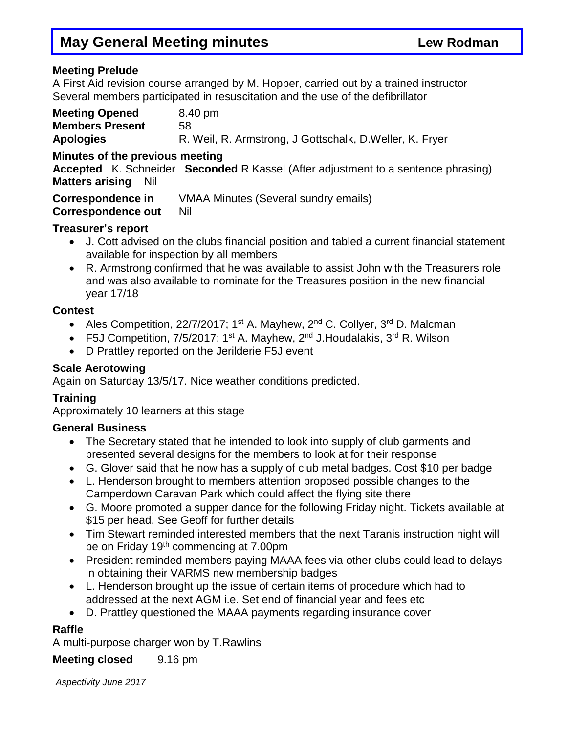#### **Meeting Prelude**

A First Aid revision course arranged by M. Hopper, carried out by a trained instructor Several members participated in resuscitation and the use of the defibrillator

| <b>Meeting Opened</b>  | 8.40 pm                                                  |
|------------------------|----------------------------------------------------------|
| <b>Members Present</b> | 58                                                       |
| <b>Apologies</b>       | R. Weil, R. Armstrong, J Gottschalk, D. Weller, K. Fryer |

#### **Minutes of the previous meeting**

**Accepted** K. Schneider **Seconded** R Kassel (After adjustment to a sentence phrasing) **Matters arising** Nil

**Correspondence in** VMAA Minutes (Several sundry emails)

**Correspondence out** Nil

#### **Treasurer's report**

- J. Cott advised on the clubs financial position and tabled a current financial statement available for inspection by all members
- R. Armstrong confirmed that he was available to assist John with the Treasurers role and was also available to nominate for the Treasures position in the new financial year 17/18

#### **Contest**

- Ales Competition, 22/7/2017; 1<sup>st</sup> A. Mayhew, 2<sup>nd</sup> C. Collyer, 3<sup>rd</sup> D. Malcman
- F5J Competition, 7/5/2017; 1<sup>st</sup> A. Mayhew, 2<sup>nd</sup> J.Houdalakis, 3<sup>rd</sup> R. Wilson
- D Prattley reported on the Jerilderie F5J event

#### **Scale Aerotowing**

Again on Saturday 13/5/17. Nice weather conditions predicted.

### **Training**

Approximately 10 learners at this stage

### **General Business**

- The Secretary stated that he intended to look into supply of club garments and presented several designs for the members to look at for their response
- G. Glover said that he now has a supply of club metal badges. Cost \$10 per badge
- L. Henderson brought to members attention proposed possible changes to the Camperdown Caravan Park which could affect the flying site there
- G. Moore promoted a supper dance for the following Friday night. Tickets available at \$15 per head. See Geoff for further details
- Tim Stewart reminded interested members that the next Taranis instruction night will be on Friday 19th commencing at 7.00pm
- President reminded members paying MAAA fees via other clubs could lead to delays in obtaining their VARMS new membership badges
- L. Henderson brought up the issue of certain items of procedure which had to addressed at the next AGM i.e. Set end of financial year and fees etc
- D. Prattley questioned the MAAA payments regarding insurance cover

## **Raffle**

A multi-purpose charger won by T.Rawlins

**Meeting closed** 9.16 pm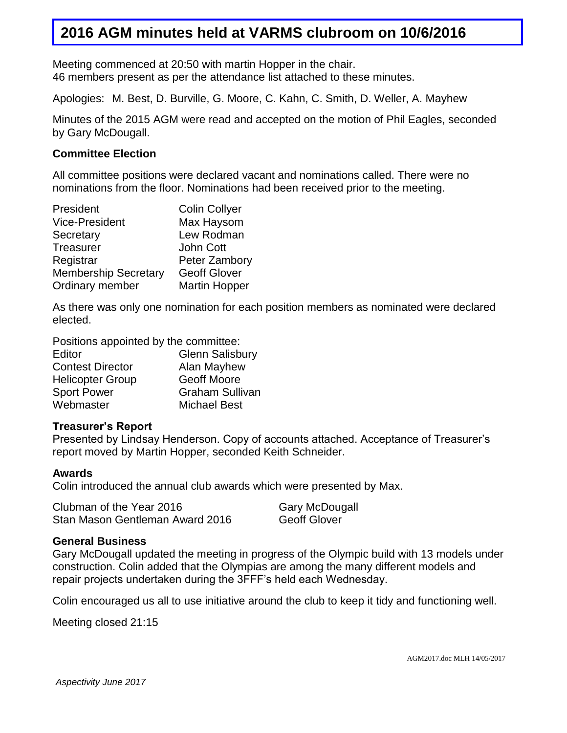## **2016 AGM minutes held at VARMS clubroom on 10/6/2016**

Meeting commenced at 20:50 with martin Hopper in the chair. 46 members present as per the attendance list attached to these minutes.

Apologies: M. Best, D. Burville, G. Moore, C. Kahn, C. Smith, D. Weller, A. Mayhew

Minutes of the 2015 AGM were read and accepted on the motion of Phil Eagles, seconded by Gary McDougall.

#### **Committee Election**

All committee positions were declared vacant and nominations called. There were no nominations from the floor. Nominations had been received prior to the meeting.

| President                   | <b>Colin Collyer</b> |
|-----------------------------|----------------------|
| <b>Vice-President</b>       | Max Haysom           |
| Secretary                   | Lew Rodman           |
| <b>Treasurer</b>            | <b>John Cott</b>     |
| Registrar                   | Peter Zambory        |
| <b>Membership Secretary</b> | <b>Geoff Glover</b>  |
| Ordinary member             | <b>Martin Hopper</b> |

As there was only one nomination for each position members as nominated were declared elected.

Positions appointed by the committee:

| Editor                  | <b>Glenn Salisbury</b> |
|-------------------------|------------------------|
| <b>Contest Director</b> | Alan Mayhew            |
| <b>Helicopter Group</b> | Geoff Moore            |
| <b>Sport Power</b>      | <b>Graham Sullivan</b> |
| Webmaster               | <b>Michael Best</b>    |

#### **Treasurer's Report**

Presented by Lindsay Henderson. Copy of accounts attached. Acceptance of Treasurer's report moved by Martin Hopper, seconded Keith Schneider.

#### **Awards**

Colin introduced the annual club awards which were presented by Max.

| Clubman of the Year 2016        | <b>Gary McDougall</b> |
|---------------------------------|-----------------------|
| Stan Mason Gentleman Award 2016 | <b>Geoff Glover</b>   |

#### **General Business**

Gary McDougall updated the meeting in progress of the Olympic build with 13 models under construction. Colin added that the Olympias are among the many different models and repair projects undertaken during the 3FFF's held each Wednesday.

Colin encouraged us all to use initiative around the club to keep it tidy and functioning well.

Meeting closed 21:15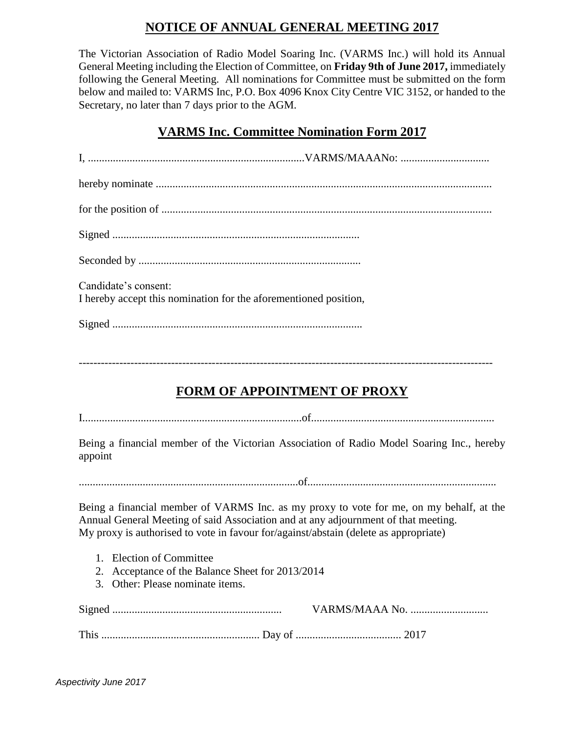## **NOTICE OF ANNUAL GENERAL MEETING 2017**

The Victorian Association of Radio Model Soaring Inc. (VARMS Inc.) will hold its Annual General Meeting including the Election of Committee, on **Friday 9th of June 2017,** immediately following the General Meeting. All nominations for Committee must be submitted on the form below and mailed to: VARMS Inc, P.O. Box 4096 Knox City Centre VIC 3152, or handed to the Secretary, no later than 7 days prior to the AGM.

## **VARMS Inc. Committee Nomination Form 2017**

| Candidate's consent:                                             |  |
|------------------------------------------------------------------|--|
| I hereby accept this nomination for the aforementioned position, |  |
|                                                                  |  |

----------------------------------------------------------------------------------------------------------------

## **FORM OF APPOINTMENT OF PROXY**

I...............................................................................of..................................................................

Being a financial member of the Victorian Association of Radio Model Soaring Inc., hereby appoint

...............................................................................of....................................................................

Being a financial member of VARMS Inc. as my proxy to vote for me, on my behalf, at the Annual General Meeting of said Association and at any adjournment of that meeting. My proxy is authorised to vote in favour for/against/abstain (delete as appropriate)

- 1. Election of Committee
- 2. Acceptance of the Balance Sheet for 2013/2014
- 3. Other: Please nominate items.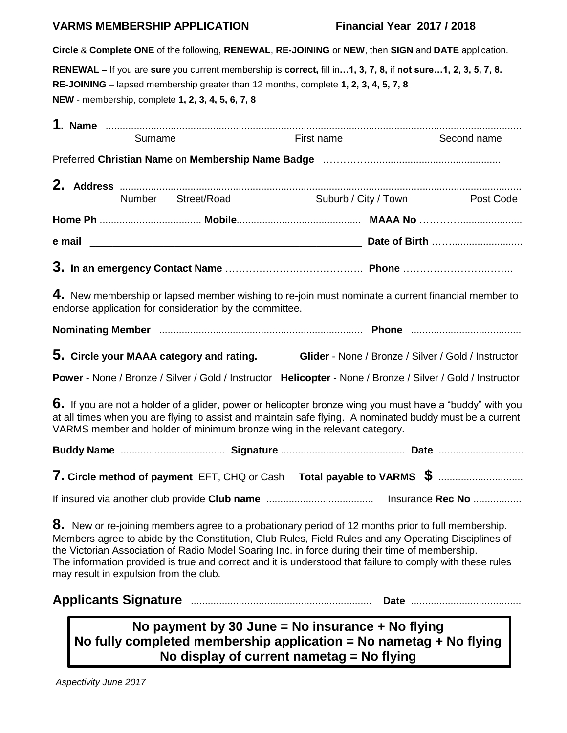#### **VARMS MEMBERSHIP APPLICATION Financial Year 2017 / 2018**

**Circle** & **Complete ONE** of the following, **RENEWAL**, **RE-JOINING** or **NEW**, then **SIGN** and **DATE** application.

**RENEWAL –** If you are **sure** you current membership is **correct,** fill in**…1, 3, 7, 8,** if **not sure…1, 2, 3, 5, 7, 8. RE-JOINING** – lapsed membership greater than 12 months, complete **1, 2, 3, 4, 5, 7, 8 NEW** - membership, complete **1, 2, 3, 4, 5, 6, 7, 8**

|                                        | Surname |                                                                                                                                                                     | First name | Second name                                                                                                                                                                                                                                                                                                             |
|----------------------------------------|---------|---------------------------------------------------------------------------------------------------------------------------------------------------------------------|------------|-------------------------------------------------------------------------------------------------------------------------------------------------------------------------------------------------------------------------------------------------------------------------------------------------------------------------|
|                                        |         |                                                                                                                                                                     |            |                                                                                                                                                                                                                                                                                                                         |
|                                        |         |                                                                                                                                                                     |            |                                                                                                                                                                                                                                                                                                                         |
|                                        |         | Number Street/Road                                                                                                                                                  |            | Suburb / City / Town Post Code                                                                                                                                                                                                                                                                                          |
|                                        |         |                                                                                                                                                                     |            |                                                                                                                                                                                                                                                                                                                         |
|                                        |         |                                                                                                                                                                     |            |                                                                                                                                                                                                                                                                                                                         |
|                                        |         |                                                                                                                                                                     |            |                                                                                                                                                                                                                                                                                                                         |
|                                        |         | endorse application for consideration by the committee.                                                                                                             |            | 4. New membership or lapsed member wishing to re-join must nominate a current financial member to                                                                                                                                                                                                                       |
|                                        |         |                                                                                                                                                                     |            |                                                                                                                                                                                                                                                                                                                         |
|                                        |         | 5. Circle your MAAA category and rating.                                                                                                                            |            | Glider - None / Bronze / Silver / Gold / Instructor                                                                                                                                                                                                                                                                     |
|                                        |         |                                                                                                                                                                     |            | Power - None / Bronze / Silver / Gold / Instructor Helicopter - None / Bronze / Silver / Gold / Instructor                                                                                                                                                                                                              |
|                                        |         | VARMS member and holder of minimum bronze wing in the relevant category.                                                                                            |            | 6. If you are not a holder of a glider, power or helicopter bronze wing you must have a "buddy" with you<br>at all times when you are flying to assist and maintain safe flying. A nominated buddy must be a current                                                                                                    |
|                                        |         |                                                                                                                                                                     |            |                                                                                                                                                                                                                                                                                                                         |
|                                        |         |                                                                                                                                                                     |            | 7. Circle method of payment EFT, CHQ or Cash Total payable to VARMS \$                                                                                                                                                                                                                                                  |
|                                        |         |                                                                                                                                                                     |            |                                                                                                                                                                                                                                                                                                                         |
| may result in expulsion from the club. |         | the Victorian Association of Radio Model Soaring Inc. in force during their time of membership.                                                                     |            | 8. New or re-joining members agree to a probationary period of 12 months prior to full membership.<br>Members agree to abide by the Constitution, Club Rules, Field Rules and any Operating Disciplines of<br>The information provided is true and correct and it is understood that failure to comply with these rules |
|                                        |         |                                                                                                                                                                     |            |                                                                                                                                                                                                                                                                                                                         |
|                                        |         | No payment by 30 June = No insurance + No flying<br>No fully completed membership application = No nametag + No flying<br>No display of current nametag = No flying |            |                                                                                                                                                                                                                                                                                                                         |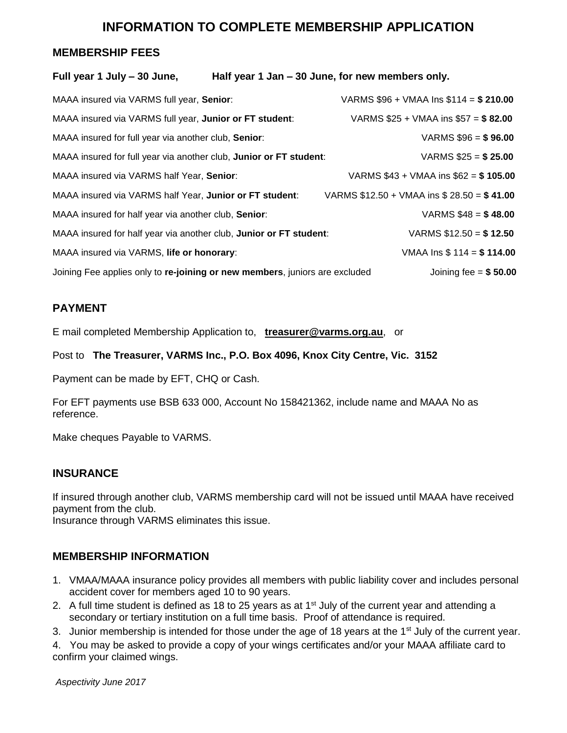## **INFORMATION TO COMPLETE MEMBERSHIP APPLICATION**

#### **MEMBERSHIP FEES**

| MAAA insured via VARMS full year, Senior:               |                                                                                                                                                                                                                                                                                                                                                                                                                                                          |
|---------------------------------------------------------|----------------------------------------------------------------------------------------------------------------------------------------------------------------------------------------------------------------------------------------------------------------------------------------------------------------------------------------------------------------------------------------------------------------------------------------------------------|
| MAAA insured via VARMS full year, Junior or FT student: |                                                                                                                                                                                                                                                                                                                                                                                                                                                          |
| MAAA insured for full year via another club, Senior:    | VARMS $$96 = $96.00$                                                                                                                                                                                                                                                                                                                                                                                                                                     |
|                                                         | VARMS $$25 = $25.00$                                                                                                                                                                                                                                                                                                                                                                                                                                     |
| MAAA insured via VARMS half Year, Senior:               |                                                                                                                                                                                                                                                                                                                                                                                                                                                          |
| MAAA insured via VARMS half Year, Junior or FT student: |                                                                                                                                                                                                                                                                                                                                                                                                                                                          |
| MAAA insured for half year via another club, Senior:    | VARMS $$48 = $48.00$                                                                                                                                                                                                                                                                                                                                                                                                                                     |
|                                                         | VARMS $$12.50 = $12.50$                                                                                                                                                                                                                                                                                                                                                                                                                                  |
| MAAA insured via VARMS, life or honorary:               | VMAA Ins $$114 = $114.00$                                                                                                                                                                                                                                                                                                                                                                                                                                |
|                                                         | Joining fee = $$50.00$                                                                                                                                                                                                                                                                                                                                                                                                                                   |
|                                                         | Half year 1 Jan – 30 June, for new members only.<br>VARMS $$96 + VMAA$ Ins $$114 = $210.00$<br>VARMS $$25 + VMAA$ ins $$57 = $82.00$<br>MAAA insured for full year via another club, Junior or FT student:<br>VARMS $$43 + VMAA$ ins $$62 = $105.00$<br>VARMS $$12.50 + VMAA$ ins $$28.50 = $41.00$<br>MAAA insured for half year via another club, Junior or FT student:<br>Joining Fee applies only to re-joining or new members, juniors are excluded |

#### **PAYMENT**

E mail completed Membership Application to, **[treasurer@varms.org.au](mailto:treasurer@varms.org.au)**, or

Post to **The Treasurer, VARMS Inc., P.O. Box 4096, Knox City Centre, Vic. 3152**

Payment can be made by EFT, CHQ or Cash.

For EFT payments use BSB 633 000, Account No 158421362, include name and MAAA No as reference.

Make cheques Payable to VARMS.

#### **INSURANCE**

If insured through another club, VARMS membership card will not be issued until MAAA have received payment from the club.

Insurance through VARMS eliminates this issue.

#### **MEMBERSHIP INFORMATION**

- 1. VMAA/MAAA insurance policy provides all members with public liability cover and includes personal accident cover for members aged 10 to 90 years.
- 2. A full time student is defined as 18 to 25 years as at  $1<sup>st</sup>$  July of the current year and attending a secondary or tertiary institution on a full time basis. Proof of attendance is required.
- 3. Junior membership is intended for those under the age of 18 years at the 1<sup>st</sup> July of the current year.

4. You may be asked to provide a copy of your wings certificates and/or your MAAA affiliate card to confirm your claimed wings.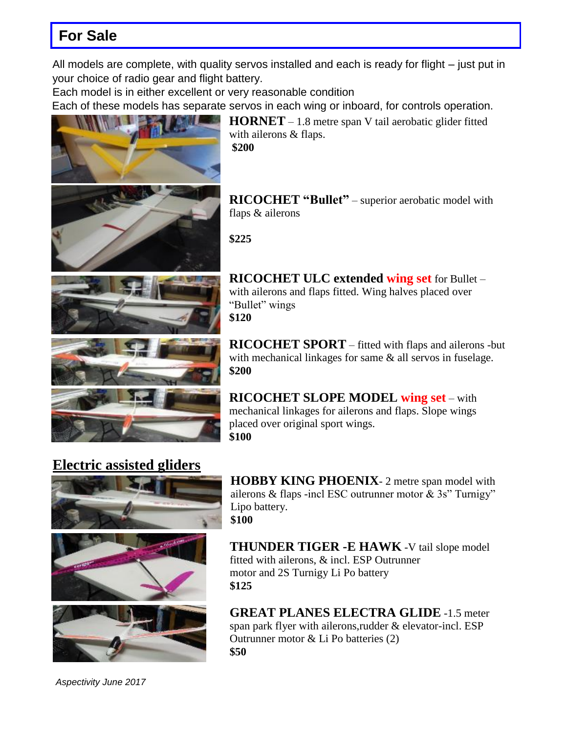# **For Sale**

All models are complete, with quality servos installed and each is ready for flight – just put in your choice of radio gear and flight battery.

Each model is in either excellent or very reasonable condition

Each of these models has separate servos in each wing or inboard, for controls operation.



**HORNET** – 1.8 metre span V tail aerobatic glider fitted with ailerons & flaps. **\$200**

**RICOCHET "Bullet"** – superior aerobatic model with flaps & ailerons

**\$225**



**RICOCHET ULC extended wing set** for Bullet – with ailerons and flaps fitted. Wing halves placed over "Bullet" wings **\$120**

**RICOCHET SPORT** – fitted with flaps and ailerons -but with mechanical linkages for same  $\&$  all servos in fuselage. **\$200**

**RICOCHET SLOPE MODEL wing set** – with mechanical linkages for ailerons and flaps. Slope wings placed over original sport wings. **\$100**

# **Electric assisted gliders**







**HOBBY KING PHOENIX**- 2 metre span model with ailerons & flaps -incl ESC outrunner motor  $\&$  3s" Turnigy" Lipo battery. **\$100**

**THUNDER TIGER -E HAWK** -V tail slope model fitted with ailerons, & incl. ESP Outrunner motor and 2S Turnigy Li Po battery **\$125**

**GREAT PLANES ELECTRA GLIDE** -1.5 meter span park flyer with ailerons,rudder & elevator-incl. ESP Outrunner motor & Li Po batteries (2) **\$50**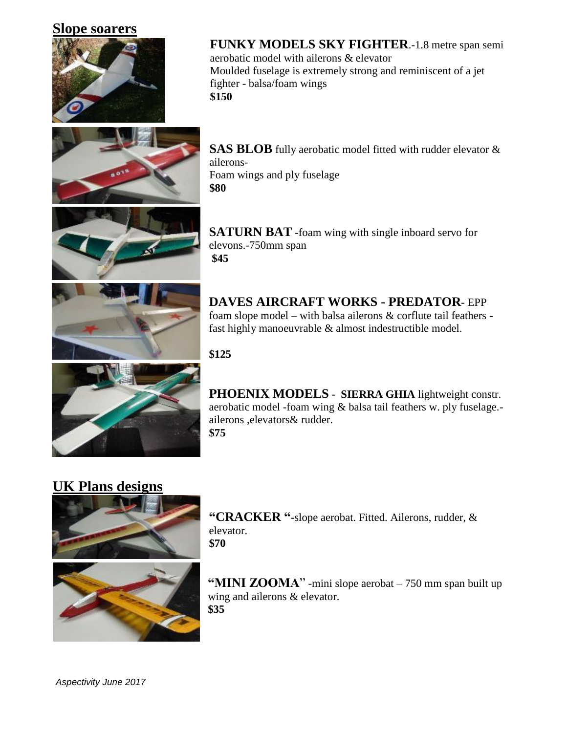## **Slope soarers**





**FUNKY MODELS SKY FIGHTER**.-1.8 metre span semi aerobatic model with ailerons & elevator Moulded fuselage is extremely strong and reminiscent of a jet fighter - balsa/foam wings **\$150**

**SAS BLOB** fully aerobatic model fitted with rudder elevator & ailerons-Foam wings and ply fuselage **\$80** 



**SATURN BAT** -foam wing with single inboard servo for elevons.-750mm span **\$45**



**DAVES AIRCRAFT WORKS - PREDATOR-** EPP foam slope model – with balsa ailerons & corflute tail feathers fast highly manoeuvrable & almost indestructible model.

**\$125**



**PHOENIX MODELS - SIERRA GHIA** lightweight constr. aerobatic model -foam wing & balsa tail feathers w. ply fuselage. ailerons ,elevators& rudder. **\$75**

## **UK Plans designs**



**"CRACKER "-**slope aerobat. Fitted. Ailerons, rudder, & elevator. **\$70**



**"MINI ZOOMA**" -mini slope aerobat – 750 mm span built up wing and ailerons & elevator. **\$35**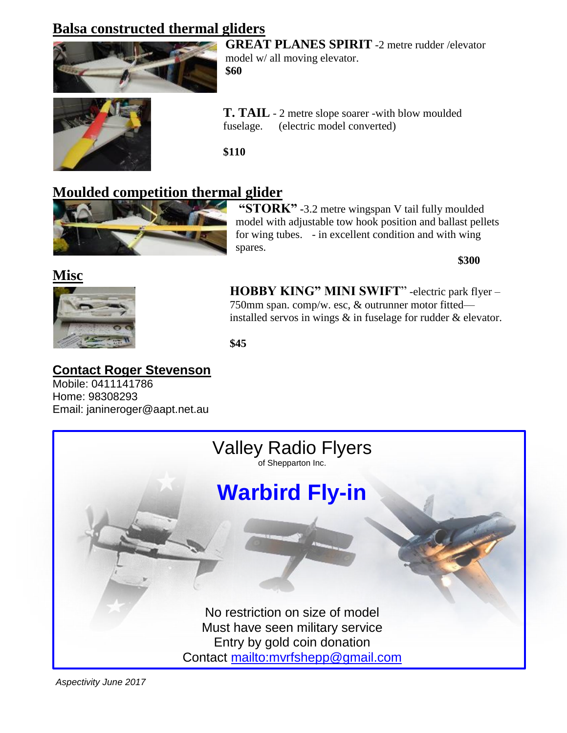# **Balsa constructed thermal gliders**



**GREAT PLANES SPIRIT** -2 metre rudder /elevator model w/ all moving elevator. **\$60**



**T. TAIL** - 2 metre slope soarer -with blow moulded fuselage. (electric model converted)

**\$110**

# **Moulded competition thermal glider**



**"STORK" -**3.2 metre wingspan V tail fully moulded model with adjustable tow hook position and ballast pellets for wing tubes. - in excellent condition and with wing spares.

**\$300** 



**HOBBY KING" MINI SWIFT**" -electric park flyer – 750mm span. comp/w. esc, & outrunner motor fitted installed servos in wings & in fuselage for rudder & elevator.

**\$45** 

## **Contact Roger Stevenson**

Mobile: 0411141786 Home: 98308293 Email: janineroger@aapt.net.au

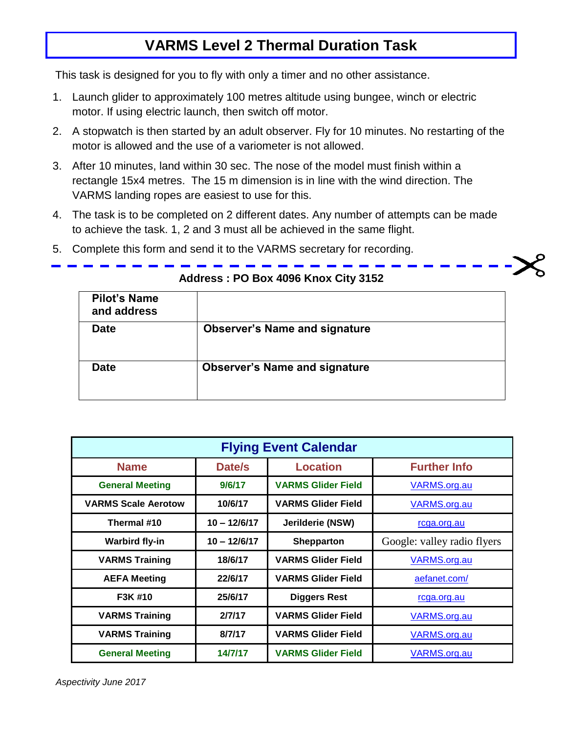# **VARMS Level 2 Thermal Duration Task**

This task is designed for you to fly with only a timer and no other assistance.

- 1. Launch glider to approximately 100 metres altitude using bungee, winch or electric motor. If using electric launch, then switch off motor.
- 2. A stopwatch is then started by an adult observer. Fly for 10 minutes. No restarting of the motor is allowed and the use of a variometer is not allowed.
- 3. After 10 minutes, land within 30 sec. The nose of the model must finish within a rectangle 15x4 metres. The 15 m dimension is in line with the wind direction. The VARMS landing ropes are easiest to use for this.
- 4. The task is to be completed on 2 different dates. Any number of attempts can be made to achieve the task. 1, 2 and 3 must all be achieved in the same flight.
- 5. Complete this form and send it to the VARMS secretary for recording.

| <b>Pilot's Name</b><br>and address |                                      |
|------------------------------------|--------------------------------------|
| <b>Date</b>                        | <b>Observer's Name and signature</b> |
| <b>Date</b>                        | <b>Observer's Name and signature</b> |

#### **Address : PO Box 4096 Knox City 3152**

| <b>Flying Event Calendar</b> |                           |                           |                             |  |  |  |  |  |
|------------------------------|---------------------------|---------------------------|-----------------------------|--|--|--|--|--|
| <b>Name</b>                  | Date/s<br><b>Location</b> |                           |                             |  |  |  |  |  |
| <b>General Meeting</b>       | 9/6/17                    | <b>VARMS Glider Field</b> | VARMS.org.au                |  |  |  |  |  |
| <b>VARMS Scale Aerotow</b>   | 10/6/17                   | <b>VARMS Glider Field</b> | <b>VARMS.org.au</b>         |  |  |  |  |  |
| Thermal #10                  | $10 - 12/6/17$            | Jerilderie (NSW)          | rcga.org.au                 |  |  |  |  |  |
| <b>Warbird fly-in</b>        | $10 - 12/6/17$            | <b>Shepparton</b>         | Google: valley radio flyers |  |  |  |  |  |
| <b>VARMS Training</b>        | 18/6/17                   | <b>VARMS Glider Field</b> | VARMS.org.au                |  |  |  |  |  |
| <b>AEFA Meeting</b>          | 22/6/17                   | <b>VARMS Glider Field</b> | aefanet.com/                |  |  |  |  |  |
| F3K #10                      | 25/6/17                   | <b>Diggers Rest</b>       | rcga.org.au                 |  |  |  |  |  |
| <b>VARMS Training</b>        | 2/7/17                    | <b>VARMS Glider Field</b> | VARMS.org.au                |  |  |  |  |  |
| <b>VARMS Training</b>        | 8/7/17                    | <b>VARMS Glider Field</b> | VARMS.org.au                |  |  |  |  |  |
| <b>General Meeting</b>       | 14/7/17                   | <b>VARMS Glider Field</b> | VARMS.org.au                |  |  |  |  |  |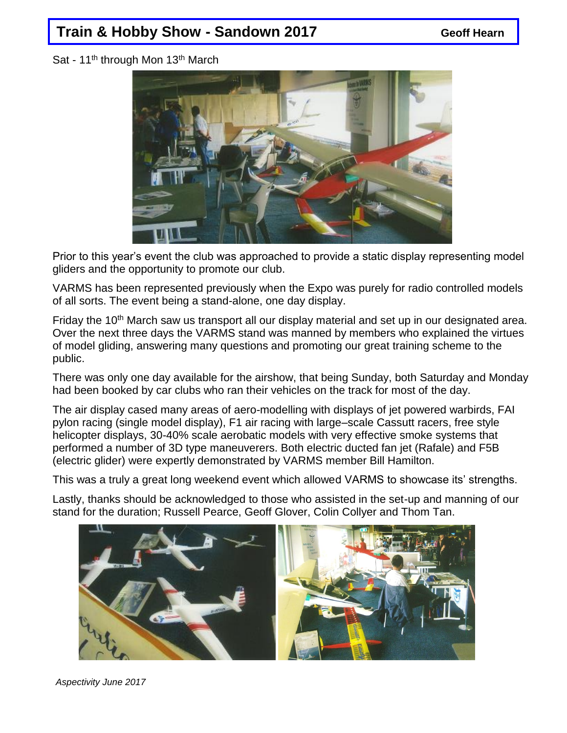# **Train & Hobby Show - Sandown 2017 Consumersion Constructs**

Sat - 11<sup>th</sup> through Mon 13<sup>th</sup> March



Prior to this year's event the club was approached to provide a static display representing model gliders and the opportunity to promote our club.

VARMS has been represented previously when the Expo was purely for radio controlled models of all sorts. The event being a stand-alone, one day display.

Friday the 10<sup>th</sup> March saw us transport all our display material and set up in our designated area. Over the next three days the VARMS stand was manned by members who explained the virtues of model gliding, answering many questions and promoting our great training scheme to the public.

There was only one day available for the airshow, that being Sunday, both Saturday and Monday had been booked by car clubs who ran their vehicles on the track for most of the day.

The air display cased many areas of aero-modelling with displays of jet powered warbirds, FAI pylon racing (single model display), F1 air racing with large–scale Cassutt racers, free style helicopter displays, 30-40% scale aerobatic models with very effective smoke systems that performed a number of 3D type maneuverers. Both electric ducted fan jet (Rafale) and F5B (electric glider) were expertly demonstrated by VARMS member Bill Hamilton.

This was a truly a great long weekend event which allowed VARMS to showcase its' strengths.

Lastly, thanks should be acknowledged to those who assisted in the set-up and manning of our stand for the duration; Russell Pearce, Geoff Glover, Colin Collyer and Thom Tan.



 *Aspectivity June 2017*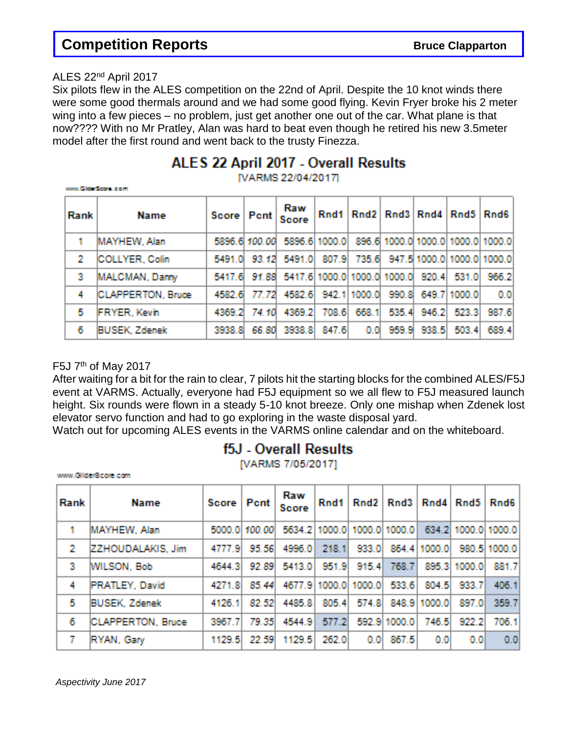## **Competition Reports** *Bruce Clapparton*

#### ALES 22nd April 2017

Six pilots flew in the ALES competition on the 22nd of April. Despite the 10 knot winds there were some good thermals around and we had some good flying. Kevin Fryer broke his 2 meter wing into a few pieces – no problem, just get another one out of the car. What plane is that now???? With no Mr Pratley, Alan was hard to beat even though he retired his new 3.5meter model after the first round and went back to the trusty Finezza.

## ALES 22 April 2017 - Overall Results

[VARMS 22/04/2017]

| www.GibberScone.com |                          |               |             |                                   |               |              |       |       |                                   |       |
|---------------------|--------------------------|---------------|-------------|-----------------------------------|---------------|--------------|-------|-------|-----------------------------------|-------|
| <b>Rank</b>         | Name                     | Score         | <b>Pent</b> | Raw<br><b>Score</b>               | Rnd1          |              |       |       | Rnd2 Rnd3 Rnd4 Rnd5 Rnd6          |       |
| $\blacksquare$      | MAYHEW, Alan             | 5896.6 100.00 |             |                                   | 5896.6 1000.0 |              |       |       | 896.6 1000.0 1000.0 1000.0 1000.0 |       |
| 2                   | COLLYER, Colin           | 5491.0        | 93.12       | 5491.0                            | 807.9         | 735.6        |       |       | - 947.5 1000.0 1000.0 1000.0      |       |
| 3                   | MALCMAN, Damy            | 5417.6        |             | 91.88 5417.6 1000.0 1000.0 1000.0 |               |              |       | 920.4 | 531.0                             | 966.2 |
| 4                   | <b>CLAPPERTON, Bruce</b> | 4582.6        | 77.72       | 4582.6                            |               | 942.1 1000.0 | 990.8 |       | 649.7 1000.0                      | 0.0   |
| 5                   | FRYER, Kevin             | 4369.2        | 74.10       | 4369.2                            | 708.6         | 668.1        | 535.4 | 946.2 | 523.3                             | 987.6 |
| 6                   | <b>BUSEK, Zdenek</b>     | 3938.8        | 66.80       | 3938.81                           | 847.6         | 0.0          | 959.9 | 938.5 | 503.4                             | 689.4 |

#### F5J  $7<sup>th</sup>$  of May 2017

After waiting for a bit for the rain to clear, 7 pilots hit the starting blocks for the combined ALES/F5J event at VARMS. Actually, everyone had F5J equipment so we all flew to F5J measured launch height. Six rounds were flown in a steady 5-10 knot breeze. Only one mishap when Zdenek lost elevator servo function and had to go exploring in the waste disposal yard.

Watch out for upcoming ALES events in the VARMS online calendar and on the whiteboard.

## f5J - Overall Results

[VARMS 7/05/2017]

www.cilider8core.com

| <b>Rank</b> | <b>Name</b>              | Score      | Pent   | Raw<br><b>Score</b> | Rnd1  |                             | Rnd2   Rnd3        |              | Rnd4 Rnd5           | Rnd6         |
|-------------|--------------------------|------------|--------|---------------------|-------|-----------------------------|--------------------|--------------|---------------------|--------------|
|             | MAYHEW, Alan             | 5000.0     | 100.00 |                     |       | 5634.2 1000.0 1000.0 1000.0 |                    |              | 634.2 1000.0 1000.0 |              |
| 2           | ZZHOUDALAKIS, Jim        | 4777.91    | 95.56  | 4996.0              | 218.1 | 933.0                       |                    | 864.4 1000.0 |                     | 980.5 1000.0 |
| 3           | <b>MILSON, Bob</b>       | 4644.3     | 92.89  | 5413.0              | 951.9 | 915.4                       | 768.7              |              | 895.3 1000.0        | 881.7        |
| 4           | <b>PRATLEY, David</b>    | 4271.8     | 85.44  | 4677.9 1000.0       |       | 1000.0                      | 533.6              | 804.5        | 933.7               | 406.1        |
| 5           | <b>BUSEK, Zdenek</b>     | 4126.1     | 82.52  | 4485.8              | 805.4 |                             | 574.8 848.9 1000.0 |              | 897.0               | 359.7        |
| 6           | <b>CLAPPERTON, Bruce</b> | 3967.<br>7 | 79.35  | 4544.9              | 577.2 |                             | 592.9 1000.0       | 746.5        | 922.2               | 706.1        |
|             | RYAN, Gary               | 1129.5     | 22.59  | 1129.5              | 262.0 | 0.01                        | 867.5              | 0.01         | 0,0                 | 0.0          |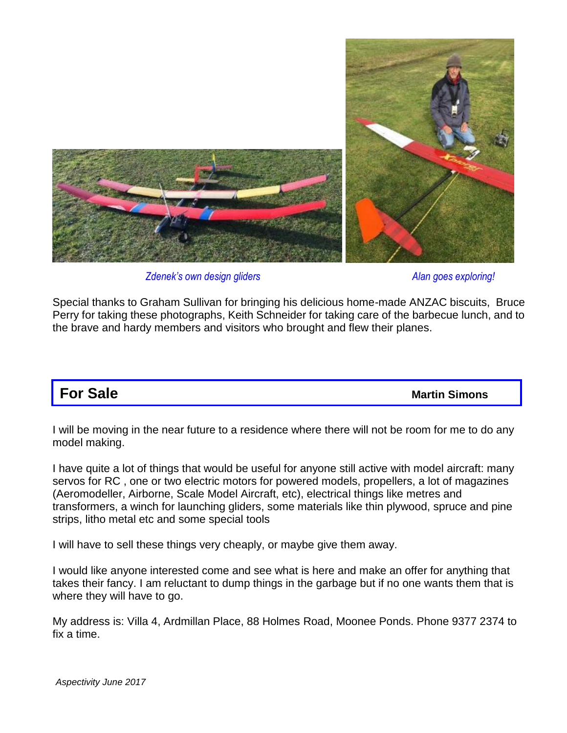

*Zdenek's own design gliders Alan goes exploring!*

Special thanks to Graham Sullivan for bringing his delicious home-made ANZAC biscuits, Bruce Perry for taking these photographs, Keith Schneider for taking care of the barbecue lunch, and to the brave and hardy members and visitors who brought and flew their planes.

# **For Sale** *Martin Simons*

I will be moving in the near future to a residence where there will not be room for me to do any model making.

I have quite a lot of things that would be useful for anyone still active with model aircraft: many servos for RC , one or two electric motors for powered models, propellers, a lot of magazines (Aeromodeller, Airborne, Scale Model Aircraft, etc), electrical things like metres and transformers, a winch for launching gliders, some materials like thin plywood, spruce and pine strips, litho metal etc and some special tools

I will have to sell these things very cheaply, or maybe give them away.

I would like anyone interested come and see what is here and make an offer for anything that takes their fancy. I am reluctant to dump things in the garbage but if no one wants them that is where they will have to go.

My address is: Villa 4, Ardmillan Place, 88 Holmes Road, Moonee Ponds. Phone 9377 2374 to fix a time.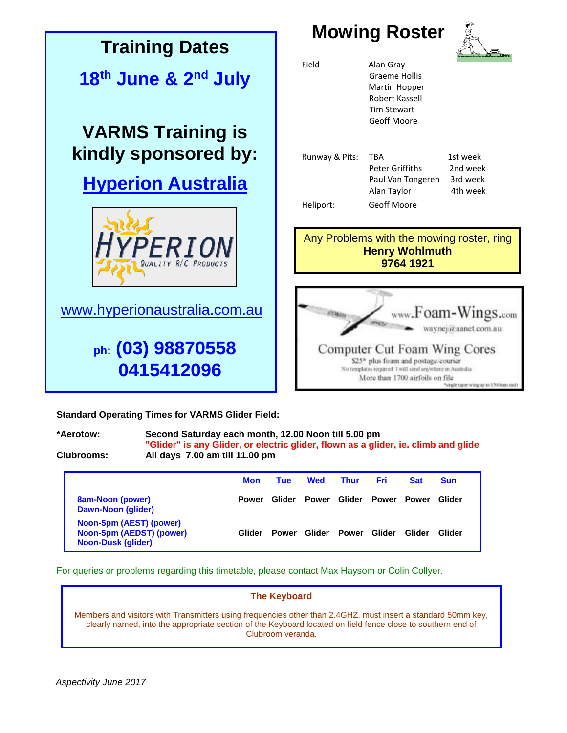

**Standard Operating Times for VARMS Glider Field:**

#### **\*Aerotow: Second Saturday each month, 12.00 Noon till 5.00 pm "Glider" is any Glider, or electric glider, flown as a glider, ie. climb and glide**

**Clubrooms: All days 7.00 am till 11.00 pm**

|                                                                                  | <b>Mon</b>   | Tue          | <b>Wed</b> | <b>Thur</b>  | Fri.        | <b>Sat</b> | <b>Sun</b> |
|----------------------------------------------------------------------------------|--------------|--------------|------------|--------------|-------------|------------|------------|
| 8am-Noon (power)<br>Dawn-Noon (glider)                                           | <b>Power</b> | Glider       | Power      | Glider       | Power Power |            | Glider     |
| Noon-5pm (AEST) (power)<br>Noon-5pm (AEDST) (power)<br><b>Noon-Dusk (glider)</b> | Glider       | <b>Power</b> | Glider     | <b>Power</b> | Glider      | Glider     | Glider     |

For queries or problems regarding this timetable, please contact Max Haysom or Colin Collyer.

#### **The Keyboard**

Members and visitors with Transmitters using frequencies other than 2.4GHZ, must insert a standard 50mm key, clearly named, into the appropriate section of the Keyboard located on field fence close to southern end of Clubroom veranda.